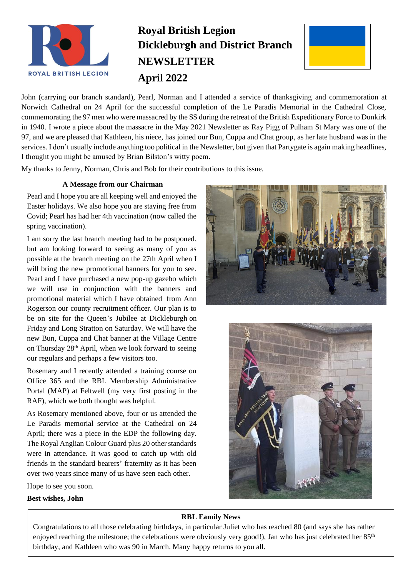

# **Royal British Legion Dickleburgh and District Branch NEWSLETTER April 2022**



John (carrying our branch standard), Pearl, Norman and I attended a service of thanksgiving and commemoration at Norwich Cathedral on 24 April for the successful completion of the Le Paradis Memorial in the Cathedral Close, commemorating the 97 men who were massacred by the SS during the retreat of the British Expeditionary Force to Dunkirk in 1940. I wrote a piece about the massacre in the May 2021 Newsletter as Ray Pigg of Pulham St Mary was one of the 97, and we are pleased that Kathleen, his niece, has joined our Bun, Cuppa and Chat group, as her late husband was in the services. I don't usually include anything too political in the Newsletter, but given that Partygate is again making headlines, I thought you might be amused by Brian Bilston's witty poem.

My thanks to Jenny, Norman, Chris and Bob for their contributions to this issue.

## **A Message from our Chairman**

Pearl and I hope you are all keeping well and enjoyed the Easter holidays. We also hope you are staying free from Covid; Pearl has had her 4th vaccination (now called the spring vaccination).

I am sorry the last branch meeting had to be postponed, but am looking forward to seeing as many of you as possible at the branch meeting on the 27th April when I will bring the new promotional banners for you to see. Pearl and I have purchased a new pop-up gazebo which we will use in conjunction with the banners and promotional material which I have obtained from Ann Rogerson our county recruitment officer. Our plan is to be on site for the Queen's Jubilee at Dickleburgh on Friday and Long Stratton on Saturday. We will have the new Bun, Cuppa and Chat banner at the Village Centre on Thursday 28th April, when we look forward to seeing our regulars and perhaps a few visitors too.

Rosemary and I recently attended a training course on Office 365 and the RBL Membership Administrative Portal (MAP) at Feltwell (my very first posting in the RAF), which we both thought was helpful.

As Rosemary mentioned above, four or us attended the Le Paradis memorial service at the Cathedral on 24 April; there was a piece in the EDP the following day. The Royal Anglian Colour Guard plus 20 other standards were in attendance. It was good to catch up with old friends in the standard bearers' fraternity as it has been over two years since many of us have seen each other.

Hope to see you soon.

## **Best wishes, John**





# **RBL Family News**

Congratulations to all those celebrating birthdays, in particular Juliet who has reached 80 (and says she has rather enjoyed reaching the milestone; the celebrations were obviously very good!), Jan who has just celebrated her 85<sup>th</sup> birthday, and Kathleen who was 90 in March. Many happy returns to you all.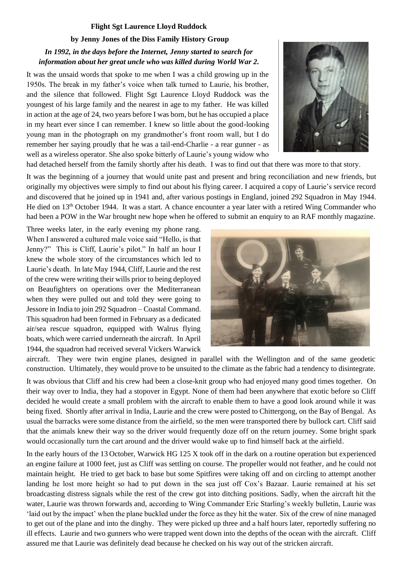## **Flight Sgt Laurence Lloyd Ruddock**

## **by Jenny Jones of the Diss Family History Group**

# *In 1992, in the days before the Internet, Jenny started to search for information about her great uncle who was killed during World War 2.*

It was the unsaid words that spoke to me when I was a child growing up in the 1950s. The break in my father's voice when talk turned to Laurie, his brother, and the silence that followed. Flight Sgt Laurence Lloyd Ruddock was the youngest of his large family and the nearest in age to my father. He was killed in action at the age of 24, two years before I was born, but he has occupied a place in my heart ever since I can remember. I knew so little about the good-looking young man in the photograph on my grandmother's front room wall, but I do remember her saying proudly that he was a tail-end-Charlie - a rear gunner - as well as a wireless operator. She also spoke bitterly of Laurie's young widow who



had detached herself from the family shortly after his death. I was to find out that there was more to that story.

It was the beginning of a journey that would unite past and present and bring reconciliation and new friends, but originally my objectives were simply to find out about his flying career. I acquired a copy of Laurie's service record and discovered that he joined up in 1941 and, after various postings in England, joined 292 Squadron in May 1944. He died on 13<sup>th</sup> October 1944. It was a start. A chance encounter a year later with a retired Wing Commander who had been a POW in the War brought new hope when he offered to submit an enquiry to an RAF monthly magazine.

Three weeks later, in the early evening my phone rang. When I answered a cultured male voice said "Hello, is that Jenny?" This is Cliff, Laurie's pilot." In half an hour I knew the whole story of the circumstances which led to Laurie's death. In late May 1944, Cliff, Laurie and the rest of the crew were writing their wills prior to being deployed on Beaufighters on operations over the Mediterranean when they were pulled out and told they were going to Jessore in India to join 292 Squadron – Coastal Command. This squadron had been formed in February as a dedicated air/sea rescue squadron, equipped with Walrus flying boats, which were carried underneath the aircraft. In April 1944, the squadron had received several Vickers Warwick



aircraft. They were twin engine planes, designed in parallel with the Wellington and of the same geodetic construction. Ultimately, they would prove to be unsuited to the climate as the fabric had a tendency to disintegrate.

It was obvious that Cliff and his crew had been a close-knit group who had enjoyed many good times together. On their way over to India, they had a stopover in Egypt. None of them had been anywhere that exotic before so Cliff decided he would create a small problem with the aircraft to enable them to have a good look around while it was being fixed. Shortly after arrival in India, Laurie and the crew were posted to Chittergong, on the Bay of Bengal. As usual the barracks were some distance from the airfield, so the men were transported there by bullock cart. Cliff said that the animals knew their way so the driver would frequently doze off on the return journey. Some bright spark would occasionally turn the cart around and the driver would wake up to find himself back at the airfield.

In the early hours of the 13 October, Warwick HG 125 X took off in the dark on a routine operation but experienced an engine failure at 1000 feet, just as Cliff was settling on course. The propeller would not feather, and he could not maintain height. He tried to get back to base but some Spitfires were taking off and on circling to attempt another landing he lost more height so had to put down in the sea just off Cox's Bazaar. Laurie remained at his set broadcasting distress signals while the rest of the crew got into ditching positions. Sadly, when the aircraft hit the water, Laurie was thrown forwards and, according to Wing Commander Eric Starling's weekly bulletin, Laurie was 'laid out by the impact' when the plane buckled under the force as they hit the water. Six of the crew of nine managed to get out of the plane and into the dinghy. They were picked up three and a half hours later, reportedly suffering no ill effects. Laurie and two gunners who were trapped went down into the depths of the ocean with the aircraft. Cliff assured me that Laurie was definitely dead because he checked on his way out of the stricken aircraft.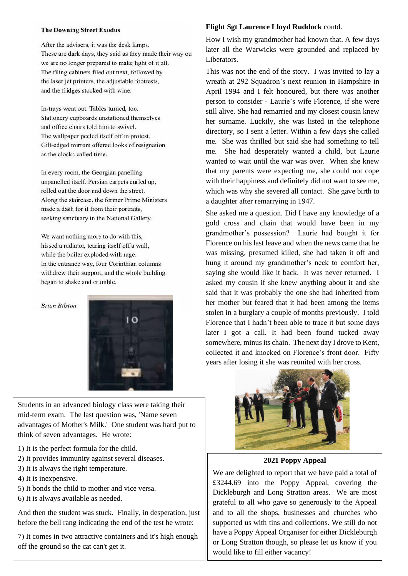#### **The Downing Street Exodus**

After the advisers, it was the desk lamps. These are dark days, they said as they made their way ou we are no longer prepared to make light of it all. The filing cabinets filed out next, followed by the laser jet printers, the adjustable footrests, and the fridges stocked with wine.

In-trays went out. Tables turned, too. Stationery cupboards unstationed themselves and office chairs told him to swivel. The wallpaper peeled itself off in protest. Gilt-edged mirrors offered looks of resignation as the clocks called time.

In every room, the Georgian panelling unpanelled itself. Persian carpets curled up, rolled out the door and down the street. Along the staircase, the former Prime Ministers made a dash for it from their portraits, seeking sanctuary in the National Gallery.

We want nothing more to do with this, hissed a radiator, tearing itself off a wall, while the boiler exploded with rage. In the entrance way, four Corinthian columns withdrew their support, and the whole building began to shake and crumble.

#### **Brian Bilston**



Students in an advanced biology class were taking their mid-term exam. The last question was, 'Name seven advantages of Mother's Milk.' One student was hard put to think of seven advantages. He wrote:

- 1) It is the perfect formula for the child.
- 2) It provides immunity against several diseases.
- 3) It is always the right temperature.
- 4) It is inexpensive.
- 5) It bonds the child to mother and vice versa.
- 6) It is always available as needed.

And then the student was stuck. Finally, in desperation, just before the bell rang indicating the end of the test he wrote:

7) It comes in two attractive containers and it's high enough off the ground so the cat can't get it.

#### **Flight Sgt Laurence Lloyd Ruddock** contd.

How I wish my grandmother had known that. A few days later all the Warwicks were grounded and replaced by Liberators.

This was not the end of the story. I was invited to lay a wreath at 292 Squadron's next reunion in Hampshire in April 1994 and I felt honoured, but there was another person to consider - Laurie's wife Florence, if she were still alive. She had remarried and my closest cousin knew her surname. Luckily, she was listed in the telephone directory, so I sent a letter. Within a few days she called me. She was thrilled but said she had something to tell me. She had desperately wanted a child, but Laurie wanted to wait until the war was over. When she knew that my parents were expecting me, she could not cope with their happiness and definitely did not want to see me, which was why she severed all contact. She gave birth to a daughter after remarrying in 1947.

She asked me a question. Did I have any knowledge of a gold cross and chain that would have been in my grandmother's possession? Laurie had bought it for Florence on his last leave and when the news came that he was missing, presumed killed, she had taken it off and hung it around my grandmother's neck to comfort her, saying she would like it back. It was never returned. I asked my cousin if she knew anything about it and she said that it was probably the one she had inherited from her mother but feared that it had been among the items stolen in a burglary a couple of months previously. I told Florence that I hadn't been able to trace it but some days later I got a call. It had been found tucked away somewhere, minus its chain. The next day I drove to Kent, collected it and knocked on Florence's front door. Fifty years after losing it she was reunited with her cross.



**2021 Poppy Appeal**

We are delighted to report that we have paid a total of £3244.69 into the Poppy Appeal, covering the Dickleburgh and Long Stratton areas. We are most grateful to all who gave so generously to the Appeal and to all the shops, businesses and churches who supported us with tins and collections. We still do not have a Poppy Appeal Organiser for either Dickleburgh or Long Stratton though, so please let us know if you would like to fill either vacancy!